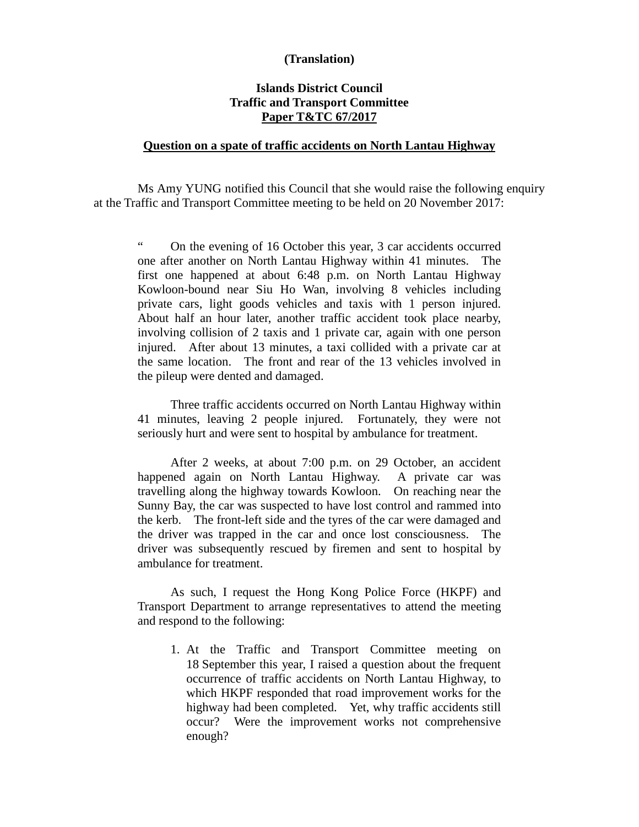## **(Translation)**

## **Islands District Council Traffic and Transport Committee Paper T&TC 67/2017**

## **Question on a spate of traffic accidents on North Lantau Highway**

 Ms Amy YUNG notified this Council that she would raise the following enquiry at the Traffic and Transport Committee meeting to be held on 20 November 2017:

" On the evening of 16 October this year, 3 car accidents occurred one after another on North Lantau Highway within 41 minutes. The first one happened at about 6:48 p.m. on North Lantau Highway Kowloon-bound near Siu Ho Wan, involving 8 vehicles including private cars, light goods vehicles and taxis with 1 person injured. About half an hour later, another traffic accident took place nearby, involving collision of 2 taxis and 1 private car, again with one person injured. After about 13 minutes, a taxi collided with a private car at the same location. The front and rear of the 13 vehicles involved in the pileup were dented and damaged.

Three traffic accidents occurred on North Lantau Highway within 41 minutes, leaving 2 people injured. Fortunately, they were not seriously hurt and were sent to hospital by ambulance for treatment.

After 2 weeks, at about 7:00 p.m. on 29 October, an accident happened again on North Lantau Highway. A private car was travelling along the highway towards Kowloon. On reaching near the Sunny Bay, the car was suspected to have lost control and rammed into the kerb. The front-left side and the tyres of the car were damaged and the driver was trapped in the car and once lost consciousness. The driver was subsequently rescued by firemen and sent to hospital by ambulance for treatment.

As such, I request the Hong Kong Police Force (HKPF) and Transport Department to arrange representatives to attend the meeting and respond to the following:

1. At the Traffic and Transport Committee meeting on 18 September this year, I raised a question about the frequent occurrence of traffic accidents on North Lantau Highway, to which HKPF responded that road improvement works for the highway had been completed. Yet, why traffic accidents still occur? Were the improvement works not comprehensive enough?